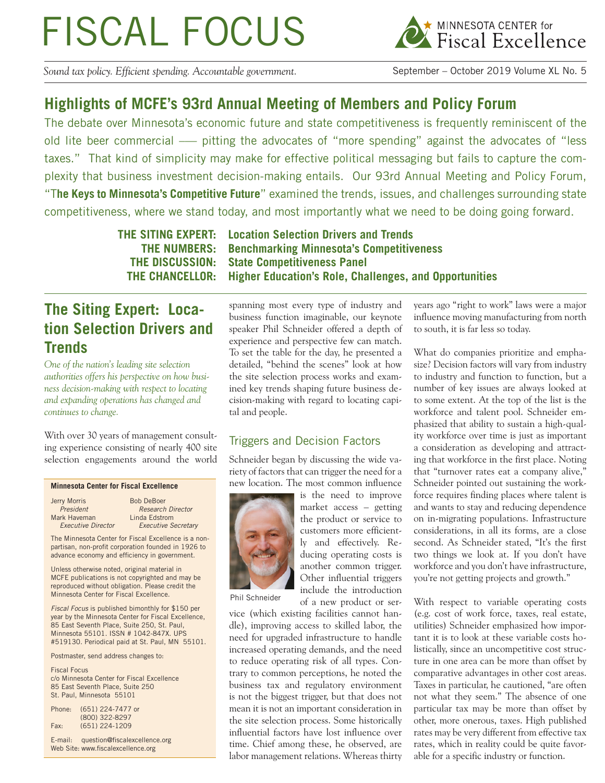# FISCAL FOCUS



*Sound tax policy. Efficient spending. Accountable government.* September – October 2019 Volume XL No. 5

## **Highlights of MCFE's 93rd Annual Meeting of Members and Policy Forum**

The debate over Minnesota's economic future and state competitiveness is frequently reminiscent of the old lite beer commercial — pitting the advocates of "more spending" against the advocates of "less taxes." That kind of simplicity may make for effective political messaging but fails to capture the complexity that business investment decision-making entails. Our 93rd Annual Meeting and Policy Forum, "T**he Keys to Minnesota's Competitive Future**" examined the trends, issues, and challenges surrounding state competitiveness, where we stand today, and most importantly what we need to be doing going forward.

**THE SITING EXPERT: Location Selection Drivers and Trends THE NUMBERS: Benchmarking Minnesota's Competitiveness THE DISCUSSION: State Competitiveness Panel THE CHANCELLOR: Higher Education's Role, Challenges, and Opportunities**

## **The Siting Expert: Location Selection Drivers and Trends**

*One of the nation's leading site selection authorities offers his perspective on how business decision-making with respect to locating and expanding operations has changed and continues to change.*

With over 30 years of management consulting experience consisting of nearly 400 site selection engagements around the world

#### **Minnesota Center for Fiscal Excellence**

| Jerry Morris                                         | <b>Bob DeBoer</b>          |  |
|------------------------------------------------------|----------------------------|--|
| President                                            | <b>Research Director</b>   |  |
| Mark Haveman                                         | Linda Edstrom              |  |
| <b>Executive Director</b>                            | <b>Executive Secretary</b> |  |
| The Minnesota Center for Fiscal Excellence is a non- |                            |  |
| partisan, non-profit corporation founded in 1926 to  |                            |  |
| advance economy and efficiency in government.        |                            |  |

Unless otherwise noted, original material in MCFE publications is not copyrighted and may be reproduced without obligation. Please credit the Minnesota Center for Fiscal Excellence.

*Fiscal Focus* is published bimonthly for \$150 per year by the Minnesota Center for Fiscal Excellence, 85 East Seventh Place, Suite 250, St. Paul, Minnesota 55101. ISSN # 1042-847X. UPS #519130. Periodical paid at St. Paul, MN 55101.

Postmaster, send address changes to:

Fiscal Focus c/o Minnesota Center for Fiscal Excellence 85 East Seventh Place, Suite 250 St. Paul, Minnesota 55101

| Phone: | (651) 224-7477 or |
|--------|-------------------|
|        | (800) 322-8297    |
| Fax:   | $(651)$ 224-1209  |

E-mail: question@fiscalexcellence.org Web Site: www.fiscalexcellence.org

spanning most every type of industry and business function imaginable, our keynote speaker Phil Schneider offered a depth of experience and perspective few can match. To set the table for the day, he presented a detailed, "behind the scenes" look at how the site selection process works and examined key trends shaping future business decision-making with regard to locating capital and people.

### Triggers and Decision Factors

Schneider began by discussing the wide variety of factors that can trigger the need for a new location. The most common influence



is the need to improve market access – getting the product or service to customers more efficiently and effectively. Reducing operating costs is another common trigger. Other influential triggers include the introduction of a new product or ser-

Phil Schneider

vice (which existing facilities cannot handle), improving access to skilled labor, the need for upgraded infrastructure to handle increased operating demands, and the need to reduce operating risk of all types. Contrary to common perceptions, he noted the business tax and regulatory environment is not the biggest trigger, but that does not mean it is not an important consideration in the site selection process. Some historically influential factors have lost influence over time. Chief among these, he observed, are labor management relations. Whereas thirty years ago "right to work" laws were a major influence moving manufacturing from north to south, it is far less so today.

What do companies prioritize and emphasize? Decision factors will vary from industry to industry and function to function, but a number of key issues are always looked at to some extent. At the top of the list is the workforce and talent pool. Schneider emphasized that ability to sustain a high-quality workforce over time is just as important a consideration as developing and attracting that workforce in the first place. Noting that "turnover rates eat a company alive," Schneider pointed out sustaining the workforce requires finding places where talent is and wants to stay and reducing dependence on in-migrating populations. Infrastructure considerations, in all its forms, are a close second. As Schneider stated, "It's the first two things we look at. If you don't have workforce and you don't have infrastructure, you're not getting projects and growth."

With respect to variable operating costs (e.g. cost of work force, taxes, real estate, utilities) Schneider emphasized how important it is to look at these variable costs holistically, since an uncompetitive cost structure in one area can be more than offset by comparative advantages in other cost areas. Taxes in particular, he cautioned, "are often not what they seem." The absence of one particular tax may be more than offset by other, more onerous, taxes. High published rates may be very different from effective tax rates, which in reality could be quite favorable for a specific industry or function.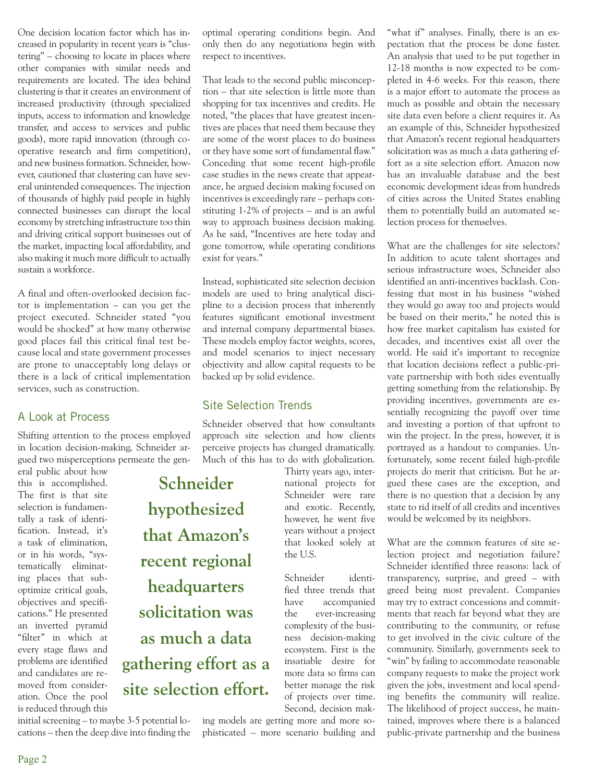One decision location factor which has increased in popularity in recent years is "clustering" – choosing to locate in places where other companies with similar needs and requirements are located. The idea behind clustering is that it creates an environment of increased productivity (through specialized inputs, access to information and knowledge transfer, and access to services and public goods), more rapid innovation (through cooperative research and firm competition), and new business formation. Schneider, however, cautioned that clustering can have several unintended consequences. The injection of thousands of highly paid people in highly connected businesses can disrupt the local economy by stretching infrastructure too thin and driving critical support businesses out of the market, impacting local affordability, and also making it much more difficult to actually sustain a workforce.

A final and often-overlooked decision factor is implementation – can you get the project executed. Schneider stated "you would be shocked" at how many otherwise good places fail this critical final test because local and state government processes are prone to unacceptably long delays or there is a lack of critical implementation services, such as construction.

#### A Look at Process

Shifting attention to the process employed in location decision-making, Schneider argued two misperceptions permeate the gen-

eral public about how this is accomplished. The first is that site selection is fundamentally a task of identification. Instead, it's a task of elimination, or in his words, "systematically eliminating places that suboptimize critical goals, objectives and specifications." He presented an inverted pyramid "filter" in which at every stage flaws and problems are identified and candidates are removed from consideration. Once the pool is reduced through this

initial screening – to maybe 3-5 potential locations – then the deep dive into finding the optimal operating conditions begin. And only then do any negotiations begin with respect to incentives.

That leads to the second public misconception – that site selection is little more than shopping for tax incentives and credits. He noted, "the places that have greatest incentives are places that need them because they are some of the worst places to do business or they have some sort of fundamental flaw." Conceding that some recent high-profile case studies in the news create that appearance, he argued decision making focused on incentives is exceedingly rare – perhaps constituting 1-2% of projects – and is an awful way to approach business decision making. As he said, "Incentives are here today and gone tomorrow, while operating conditions exist for years."

Instead, sophisticated site selection decision models are used to bring analytical discipline to a decision process that inherently features significant emotional investment and internal company departmental biases. These models employ factor weights, scores, and model scenarios to inject necessary objectivity and allow capital requests to be backed up by solid evidence.

#### Site Selection Trends

Schneider observed that how consultants approach site selection and how clients perceive projects has changed dramatically. Much of this has to do with globalization.

the U.S.

Thirty years ago, international projects for Schneider were rare and exotic. Recently, however, he went five years without a project that looked solely at

Schneider identified three trends that have accompanied the ever-increasing complexity of the business decision-making ecosystem. First is the insatiable desire for more data so firms can better manage the risk of projects over time.

**Schneider hypothesized that Amazon's recent regional headquarters solicitation was as much a data gathering effort as a site selection effort.**

> Second, decision making models are getting more and more sophisticated – more scenario building and

"what if" analyses. Finally, there is an expectation that the process be done faster. An analysis that used to be put together in 12-18 months is now expected to be completed in 4-6 weeks. For this reason, there is a major effort to automate the process as much as possible and obtain the necessary site data even before a client requires it. As an example of this, Schneider hypothesized that Amazon's recent regional headquarters solicitation was as much a data gathering effort as a site selection effort. Amazon now has an invaluable database and the best economic development ideas from hundreds of cities across the United States enabling them to potentially build an automated selection process for themselves.

What are the challenges for site selectors? In addition to acute talent shortages and serious infrastructure woes, Schneider also identified an anti-incentives backlash. Confessing that most in his business "wished they would go away too and projects would be based on their merits," he noted this is how free market capitalism has existed for decades, and incentives exist all over the world. He said it's important to recognize that location decisions reflect a public-private partnership with both sides eventually getting something from the relationship. By providing incentives, governments are essentially recognizing the payoff over time and investing a portion of that upfront to win the project. In the press, however, it is portrayed as a handout to companies. Unfortunately, some recent failed high-profile projects do merit that criticism. But he argued these cases are the exception, and there is no question that a decision by any state to rid itself of all credits and incentives would be welcomed by its neighbors.

What are the common features of site selection project and negotiation failure? Schneider identified three reasons: lack of transparency, surprise, and greed – with greed being most prevalent. Companies may try to extract concessions and commitments that reach far beyond what they are contributing to the community, or refuse to get involved in the civic culture of the community. Similarly, governments seek to "win" by failing to accommodate reasonable company requests to make the project work given the jobs, investment and local spending benefits the community will realize. The likelihood of project success, he maintained, improves where there is a balanced public-private partnership and the business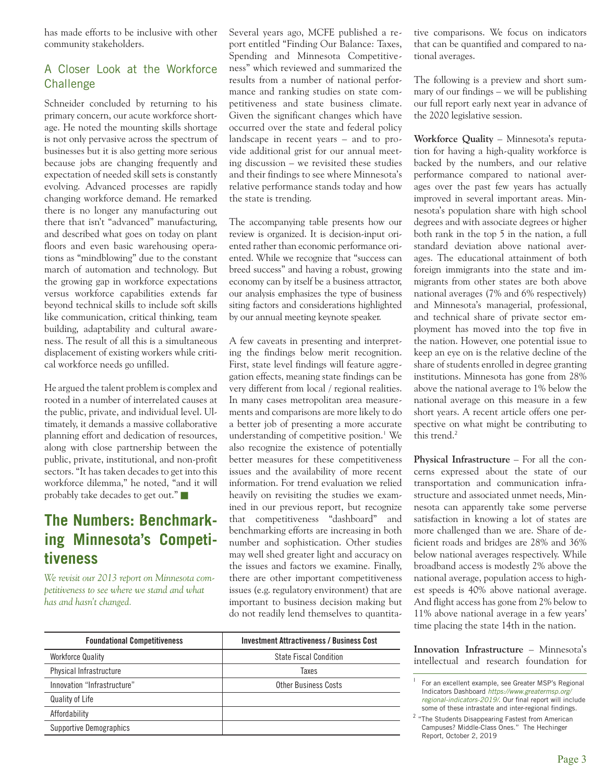has made efforts to be inclusive with other community stakeholders.

### A Closer Look at the Workforce **Challenge**

Schneider concluded by returning to his primary concern, our acute workforce shortage. He noted the mounting skills shortage is not only pervasive across the spectrum of businesses but it is also getting more serious because jobs are changing frequently and expectation of needed skill sets is constantly evolving. Advanced processes are rapidly changing workforce demand. He remarked there is no longer any manufacturing out there that isn't "advanced" manufacturing, and described what goes on today on plant floors and even basic warehousing operations as "mindblowing" due to the constant march of automation and technology. But the growing gap in workforce expectations versus workforce capabilities extends far beyond technical skills to include soft skills like communication, critical thinking, team building, adaptability and cultural awareness. The result of all this is a simultaneous displacement of existing workers while critical workforce needs go unfilled.

He argued the talent problem is complex and rooted in a number of interrelated causes at the public, private, and individual level. Ultimately, it demands a massive collaborative planning effort and dedication of resources, along with close partnership between the public, private, institutional, and non-profit sectors. "It has taken decades to get into this workforce dilemma," he noted, "and it will probably take decades to get out."

## **The Numbers: Benchmarking Minnesota's Competitiveness**

*We revisit our 2013 report on Minnesota competitiveness to see where we stand and what has and hasn't changed.*

Several years ago, MCFE published a report entitled "Finding Our Balance: Taxes, Spending and Minnesota Competitiveness" which reviewed and summarized the results from a number of national performance and ranking studies on state competitiveness and state business climate. Given the significant changes which have occurred over the state and federal policy landscape in recent years – and to provide additional grist for our annual meeting discussion – we revisited these studies and their findings to see where Minnesota's relative performance stands today and how the state is trending.

The accompanying table presents how our review is organized. It is decision-input oriented rather than economic performance oriented. While we recognize that "success can breed success" and having a robust, growing economy can by itself be a business attractor, our analysis emphasizes the type of business siting factors and considerations highlighted by our annual meeting keynote speaker.

A few caveats in presenting and interpreting the findings below merit recognition. First, state level findings will feature aggregation effects, meaning state findings can be very different from local / regional realities. In many cases metropolitan area measurements and comparisons are more likely to do a better job of presenting a more accurate understanding of competitive position.<sup>1</sup> We also recognize the existence of potentially better measures for these competitiveness issues and the availability of more recent information. For trend evaluation we relied heavily on revisiting the studies we examined in our previous report, but recognize that competitiveness "dashboard" and benchmarking efforts are increasing in both number and sophistication. Other studies may well shed greater light and accuracy on the issues and factors we examine. Finally, there are other important competitiveness issues (e.g. regulatory environment) that are important to business decision making but do not readily lend themselves to quantitative comparisons. We focus on indicators that can be quantified and compared to national averages.

The following is a preview and short summary of our findings – we will be publishing our full report early next year in advance of the 2020 legislative session.

**Workforce Quality** – Minnesota's reputation for having a high-quality workforce is backed by the numbers, and our relative performance compared to national averages over the past few years has actually improved in several important areas. Minnesota's population share with high school degrees and with associate degrees or higher both rank in the top 5 in the nation, a full standard deviation above national averages. The educational attainment of both foreign immigrants into the state and immigrants from other states are both above national averages (7% and 6% respectively) and Minnesota's managerial, professional, and technical share of private sector employment has moved into the top five in the nation. However, one potential issue to keep an eye on is the relative decline of the share of students enrolled in degree granting institutions. Minnesota has gone from 28% above the national average to 1% below the national average on this measure in a few short years. A recent article offers one perspective on what might be contributing to this trend. $<sup>2</sup>$ </sup>

**Physical Infrastructure** – For all the concerns expressed about the state of our transportation and communication infrastructure and associated unmet needs, Minnesota can apparently take some perverse satisfaction in knowing a lot of states are more challenged than we are. Share of deficient roads and bridges are 28% and 36% below national averages respectively. While broadband access is modestly 2% above the national average, population access to highest speeds is 40% above national average. And flight access has gone from 2% below to 11% above national average in a few years' time placing the state 14th in the nation.

**Innovation Infrastructure** – Minnesota's intellectual and research foundation for

<sup>&</sup>lt;sup>2</sup> "The Students Disappearing Fastest from American Campuses? Middle-Class Ones." The Hechinger Report, October 2, 2019

| <b>Foundational Competitiveness</b> | <b>Investment Attractiveness / Business Cost</b> |
|-------------------------------------|--------------------------------------------------|
| <b>Workforce Quality</b>            | <b>State Fiscal Condition</b>                    |
| Physical Infrastructure             | Taxes                                            |
| Innovation "Infrastructure"         | Other Business Costs                             |
| Quality of Life                     |                                                  |
| Affordability                       |                                                  |
| <b>Supportive Demographics</b>      |                                                  |

For an excellent example, see Greater MSP's Regional Indicators Dashboard *https://www.greatermsp.org/* regional-indicators-2019/. Our final report will include some of these intrastate and inter-regional findings.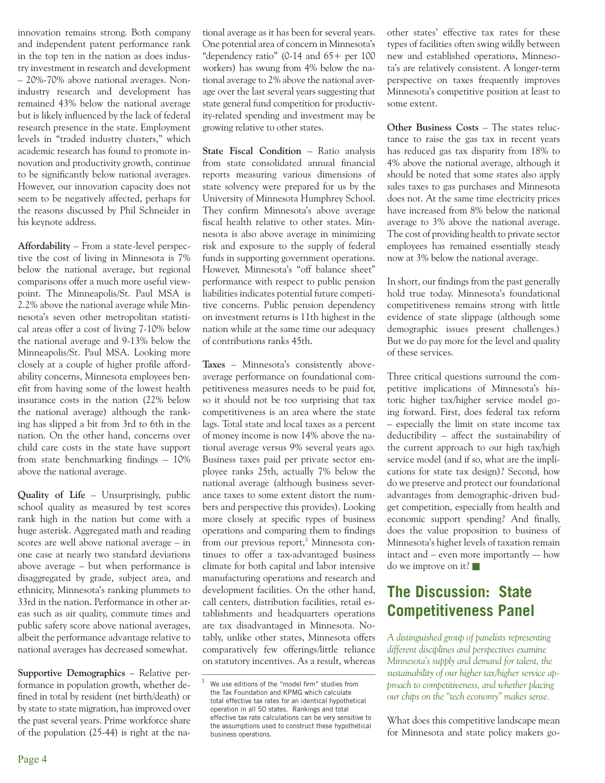innovation remains strong. Both company and independent patent performance rank in the top ten in the nation as does industry investment in research and development – 20%-70% above national averages. Nonindustry research and development has remained 43% below the national average but is likely influenced by the lack of federal research presence in the state. Employment levels in "traded industry clusters," which academic research has found to promote innovation and productivity growth, continue to be significantly below national averages. However, our innovation capacity does not seem to be negatively affected, perhaps for the reasons discussed by Phil Schneider in his keynote address.

**Affordability** – From a state-level perspective the cost of living in Minnesota is 7% below the national average, but regional comparisons offer a much more useful viewpoint. The Minneapolis/St. Paul MSA is 2.2% above the national average while Minnesota's seven other metropolitan statistical areas offer a cost of living 7-10% below the national average and 9-13% below the Minneapolis/St. Paul MSA. Looking more closely at a couple of higher profile affordability concerns, Minnesota employees benefit from having some of the lowest health insurance costs in the nation (22% below the national average) although the ranking has slipped a bit from 3rd to 6th in the nation. On the other hand, concerns over child care costs in the state have support from state benchmarking findings – 10% above the national average.

**Quality of Life** – Unsurprisingly, public school quality as measured by test scores rank high in the nation but come with a huge asterisk. Aggregated math and reading scores are well above national average – in one case at nearly two standard deviations above average – but when performance is disaggregated by grade, subject area, and ethnicity, Minnesota's ranking plummets to 33rd in the nation. Performance in other areas such as air quality, commute times and public safety score above national averages, albeit the performance advantage relative to national averages has decreased somewhat.

**Supportive Demographics** – Relative performance in population growth, whether defined in total by resident (net birth/death) or by state to state migration, has improved over the past several years. Prime workforce share of the population (25-44) is right at the national average as it has been for several years. One potential area of concern in Minnesota's "dependency ratio"  $(0.14$  and  $65+$  per 100 workers) has swung from 4% below the national average to 2% above the national average over the last several years suggesting that state general fund competition for productivity-related spending and investment may be growing relative to other states.

**State Fiscal Condition** – Ratio analysis from state consolidated annual financial reports measuring various dimensions of state solvency were prepared for us by the University of Minnesota Humphrey School. They confirm Minnesota's above average fiscal health relative to other states. Minnesota is also above average in minimizing risk and exposure to the supply of federal funds in supporting government operations. However, Minnesota's "off balance sheet" performance with respect to public pension liabilities indicates potential future competitive concerns. Public pension dependency on investment returns is 11th highest in the nation while at the same time our adequacy of contributions ranks 45th.

**Taxes** – Minnesota's consistently aboveaverage performance on foundational competitiveness measures needs to be paid for, so it should not be too surprising that tax competitiveness is an area where the state lags. Total state and local taxes as a percent of money income is now 14% above the national average versus 9% several years ago. Business taxes paid per private sector employee ranks 25th, actually 7% below the national average (although business severance taxes to some extent distort the numbers and perspective this provides). Looking more closely at specific types of business operations and comparing them to findings from our previous report,<sup>3</sup> Minnesota continues to offer a tax-advantaged business climate for both capital and labor intensive manufacturing operations and research and development facilities. On the other hand, call centers, distribution facilities, retail establishments and headquarters operations are tax disadvantaged in Minnesota. Notably, unlike other states, Minnesota offers comparatively few offerings/little reliance on statutory incentives. As a result, whereas other states' effective tax rates for these types of facilities often swing wildly between new and established operations, Minnesota's are relatively consistent. A longer-term perspective on taxes frequently improves Minnesota's competitive position at least to some extent.

**Other Business Costs** – The states reluctance to raise the gas tax in recent years has reduced gas tax disparity from 18% to 4% above the national average, although it should be noted that some states also apply sales taxes to gas purchases and Minnesota does not. At the same time electricity prices have increased from 8% below the national average to 3% above the national average. The cost of providing health to private sector employees has remained essentially steady now at 3% below the national average.

In short, our findings from the past generally hold true today. Minnesota's foundational competitiveness remains strong with little evidence of state slippage (although some demographic issues present challenges.) But we do pay more for the level and quality of these services.

Three critical questions surround the competitive implications of Minnesota's historic higher tax/higher service model going forward. First, does federal tax reform – especially the limit on state income tax deductibility – affect the sustainability of the current approach to our high tax/high service model (and if so, what are the implications for state tax design)? Second, how do we preserve and protect our foundational advantages from demographic-driven budget competition, especially from health and economic support spending? And finally, does the value proposition to business of Minnesota's higher levels of taxation remain intact and – even more importantly  $-$  how do we improve on it?

## **The Discussion: State Competitiveness Panel**

*A distinguished group of panelists representing different disciplines and perspectives examine Minnesota's supply and demand for talent, the sustainability of our higher tax/higher service approach to competitiveness, and whether placing our chips on the "tech economy" makes sense.*

What does this competitive landscape mean for Minnesota and state policy makers go-

We use editions of the "model firm" studies from the Tax Foundation and KPMG which calculate total effective tax rates for an identical hypothetical operation in all 50 states. Rankings and total effective tax rate calculations can be very sensitive to the assumptions used to construct these hypothetical business operations.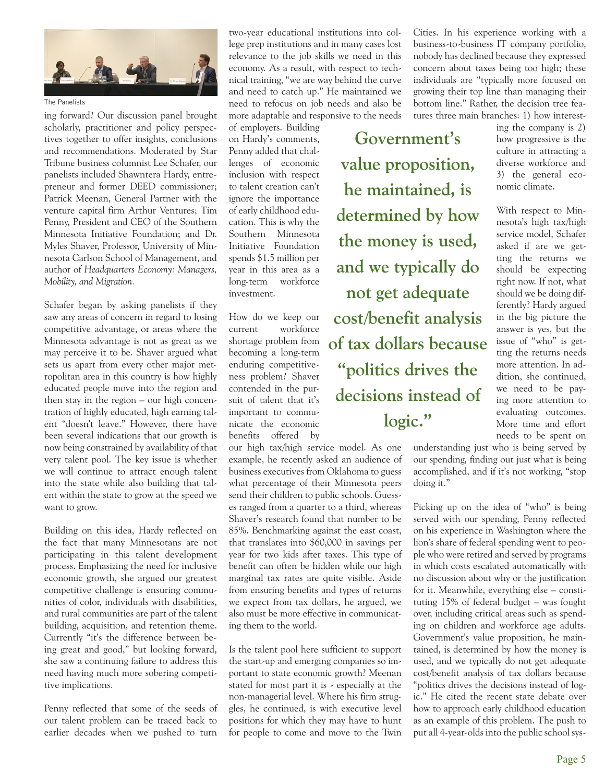

The Panelists

ing forward? Our discussion panel brought scholarly, practitioner and policy perspectives together to offer insights, conclusions and recommendations. Moderated by Star Tribune business columnist Lee Schafer, our panelists included Shawntera Hardy, entrepreneur and former DEED commissioner; Patrick Meenan, General Partner with the venture capital firm Arthur Ventures; Tim Penny, President and CEO of the Southern Minnesota Initiative Foundation; and Dr. Myles Shaver, Professor, University of Minnesota Carlson School of Management, and author of *Headquarters Economy: Managers, Mobility, and Migration.*

Schafer began by asking panelists if they saw any areas of concern in regard to losing competitive advantage, or areas where the Minnesota advantage is not as great as we may perceive it to be. Shaver argued what sets us apart from every other major metropolitan area in this country is how highly educated people move into the region and then stay in the region – our high concentration of highly educated, high earning talent "doesn't leave." However, there have been several indications that our growth is now being constrained by availability of that very talent pool. The key issue is whether we will continue to attract enough talent into the state while also building that talent within the state to grow at the speed we want to grow.

Building on this idea, Hardy reflected on the fact that many Minnesotans are not participating in this talent development process. Emphasizing the need for inclusive economic growth, she argued our greatest competitive challenge is ensuring communities of color, individuals with disabilities, and rural communities are part of the talent building, acquisition, and retention theme. Currently "it's the difference between being great and good," but looking forward, she saw a continuing failure to address this need having much more sobering competitive implications.

Penny reflected that some of the seeds of our talent problem can be traced back to earlier decades when we pushed to turn

two-year educational institutions into college prep institutions and in many cases lost relevance to the job skills we need in this economy. As a result, with respect to technical training, "we are way behind the curve and need to catch up." He maintained we need to refocus on job needs and also be more adaptable and responsive to the needs

of employers. Building on Hardy's comments, Penny added that challenges of economic inclusion with respect to talent creation can't ignore the importance of early childhood education. This is why the Southern Minnesota Initiative Foundation spends \$1.5 million per year in this area as a long-term workforce investment.

How do we keep our current workforce shortage problem from becoming a long-term enduring competitiveness problem? Shaver contended in the pursuit of talent that it's important to communicate the economic benefits offered by

our high tax/high service model. As one example, he recently asked an audience of business executives from Oklahoma to guess what percentage of their Minnesota peers send their children to public schools. Guesses ranged from a quarter to a third, whereas Shaver's research found that number to be 85%. Benchmarking against the east coast, that translates into \$60,000 in savings per year for two kids after taxes. This type of benefit can often be hidden while our high marginal tax rates are quite visible. Aside from ensuring benefits and types of returns we expect from tax dollars, he argued, we also must be more effective in communicating them to the world.

Is the talent pool here sufficient to support the start-up and emerging companies so important to state economic growth? Meenan stated for most part it is - especially at the non-managerial level. Where his firm struggles, he continued, is with executive level positions for which they may have to hunt for people to come and move to the Twin

Cities. In his experience working with a business-to-business IT company portfolio, nobody has declined because they expressed concern about taxes being too high; these individuals are "typically more focused on growing their top line than managing their bottom line." Rather, the decision tree features three main branches: 1) how interest-

**Government's value proposition, he maintained, is determined by how the money is used, and we typically do not get adequate cost/benefit analysis of tax dollars because "politics drives the decisions instead of logic."** 

ing the company is 2) how progressive is the culture in attracting a diverse workforce and 3) the general economic climate.

With respect to Minnesota's high tax/high service model, Schafer asked if are we getting the returns we should be expecting right now. If not, what should we be doing differently? Hardy argued in the big picture the answer is yes, but the issue of "who" is getting the returns needs more attention. In addition, she continued, we need to be paying more attention to evaluating outcomes. More time and effort needs to be spent on

understanding just who is being served by our spending, finding out just what is being accomplished, and if it's not working, "stop doing it."

Picking up on the idea of "who" is being served with our spending, Penny reflected on his experience in Washington where the lion's share of federal spending went to people who were retired and served by programs in which costs escalated automatically with no discussion about why or the justification for it. Meanwhile, everything else – constituting 15% of federal budget – was fought over, including critical areas such as spending on children and workforce age adults. Government's value proposition, he maintained, is determined by how the money is used, and we typically do not get adequate cost/benefit analysis of tax dollars because "politics drives the decisions instead of logic." He cited the recent state debate over how to approach early childhood education as an example of this problem. The push to put all 4-year-olds into the public school sys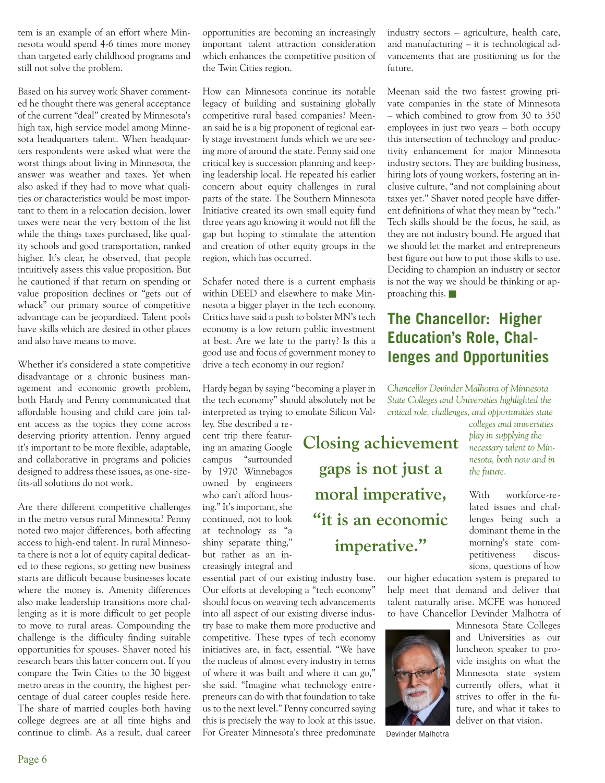tem is an example of an effort where Minnesota would spend 4-6 times more money than targeted early childhood programs and still not solve the problem.

Based on his survey work Shaver commented he thought there was general acceptance of the current "deal" created by Minnesota's high tax, high service model among Minnesota headquarters talent. When headquarters respondents were asked what were the worst things about living in Minnesota, the answer was weather and taxes. Yet when also asked if they had to move what qualities or characteristics would be most important to them in a relocation decision, lower taxes were near the very bottom of the list while the things taxes purchased, like quality schools and good transportation, ranked higher. It's clear, he observed, that people intuitively assess this value proposition. But he cautioned if that return on spending or value proposition declines or "gets out of whack" our primary source of competitive advantage can be jeopardized. Talent pools have skills which are desired in other places and also have means to move.

Whether it's considered a state competitive disadvantage or a chronic business management and economic growth problem, both Hardy and Penny communicated that affordable housing and child care join talent access as the topics they come across deserving priority attention. Penny argued it's important to be more flexible, adaptable, and collaborative in programs and policies designed to address these issues, as one-sizefits-all solutions do not work.

Are there different competitive challenges in the metro versus rural Minnesota? Penny noted two major differences, both affecting access to high-end talent. In rural Minnesota there is not a lot of equity capital dedicated to these regions, so getting new business starts are difficult because businesses locate where the money is. Amenity differences also make leadership transitions more challenging as it is more difficult to get people to move to rural areas. Compounding the challenge is the difficulty finding suitable opportunities for spouses. Shaver noted his research bears this latter concern out. If you compare the Twin Cities to the 30 biggest metro areas in the country, the highest percentage of dual career couples reside here. The share of married couples both having college degrees are at all time highs and continue to climb. As a result, dual career opportunities are becoming an increasingly important talent attraction consideration which enhances the competitive position of the Twin Cities region.

How can Minnesota continue its notable legacy of building and sustaining globally competitive rural based companies? Meenan said he is a big proponent of regional early stage investment funds which we are seeing more of around the state. Penny said one critical key is succession planning and keeping leadership local. He repeated his earlier concern about equity challenges in rural parts of the state. The Southern Minnesota Initiative created its own small equity fund three years ago knowing it would not fill the gap but hoping to stimulate the attention and creation of other equity groups in the region, which has occurred.

Schafer noted there is a current emphasis within DEED and elsewhere to make Minnesota a bigger player in the tech economy. Critics have said a push to bolster MN's tech economy is a low return public investment at best. Are we late to the party? Is this a good use and focus of government money to drive a tech economy in our region?

Hardy began by saying "becoming a player in the tech economy" should absolutely not be interpreted as trying to emulate Silicon Val-

ley. She described a recent trip there featuring an amazing Google campus "surrounded by 1970 Winnebagos owned by engineers who can't afford housing." It's important, she continued, not to look at technology as "a shiny separate thing," but rather as an increasingly integral and

essential part of our existing industry base. Our efforts at developing a "tech economy" should focus on weaving tech advancements into all aspect of our existing diverse industry base to make them more productive and competitive. These types of tech economy initiatives are, in fact, essential. "We have the nucleus of almost every industry in terms of where it was built and where it can go," she said. "Imagine what technology entrepreneurs can do with that foundation to take us to the next level." Penny concurred saying this is precisely the way to look at this issue. For Greater Minnesota's three predominate

industry sectors – agriculture, health care, and manufacturing – it is technological advancements that are positioning us for the future.

Meenan said the two fastest growing private companies in the state of Minnesota – which combined to grow from 30 to 350 employees in just two years – both occupy this intersection of technology and productivity enhancement for major Minnesota industry sectors. They are building business, hiring lots of young workers, fostering an inclusive culture, "and not complaining about taxes yet." Shaver noted people have different definitions of what they mean by "tech." Tech skills should be the focus, he said, as they are not industry bound. He argued that we should let the market and entrepreneurs best figure out how to put those skills to use. Deciding to champion an industry or sector is not the way we should be thinking or approaching this.

## **The Chancellor: Higher Education's Role, Challenges and Opportunities**

*Chancellor Devinder Malhotra of Minnesota State Colleges and Universities highlighted the critical role, challenges, and opportunities state colleges and universities* 

*play in supplying the necessary talent to Minnesota, both now and in the future.* With workforce-re-**Closing achievement gaps is not just a moral imperative,** 

lated issues and challenges being such a dominant theme in the morning's state competitiveness discussions, questions of how

our higher education system is prepared to help meet that demand and deliver that talent naturally arise. MCFE was honored to have Chancellor Devinder Malhotra of



Devinder Malhotra

**"it is an economic** 

**imperative."**

Minnesota State Colleges and Universities as our luncheon speaker to provide insights on what the Minnesota state system currently offers, what it strives to offer in the future, and what it takes to

deliver on that vision.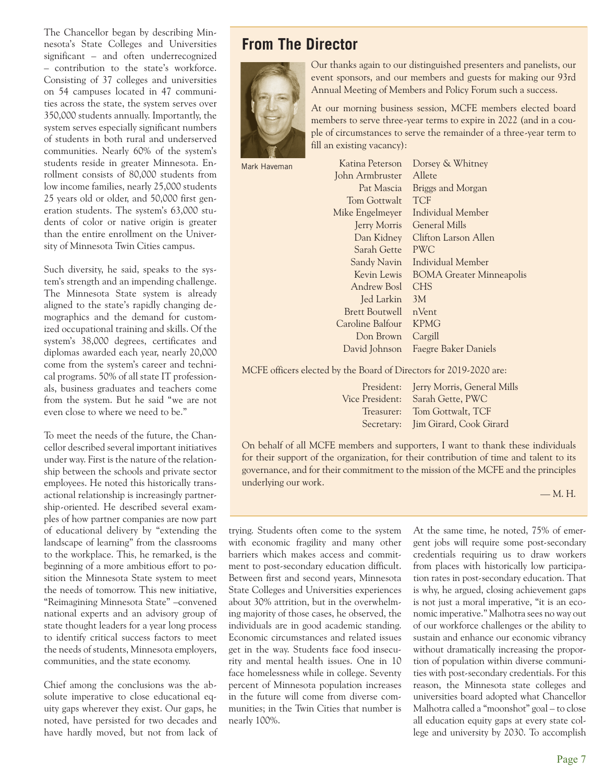The Chancellor began by describing Minnesota's State Colleges and Universities significant – and often underrecognized – contribution to the state's workforce. Consisting of 37 colleges and universities on 54 campuses located in 47 communities across the state, the system serves over 350,000 students annually. Importantly, the system serves especially significant numbers of students in both rural and underserved communities. Nearly 60% of the system's students reside in greater Minnesota. Enrollment consists of 80,000 students from low income families, nearly 25,000 students 25 years old or older, and 50,000 first generation students. The system's 63,000 students of color or native origin is greater than the entire enrollment on the University of Minnesota Twin Cities campus.

Such diversity, he said, speaks to the system's strength and an impending challenge. The Minnesota State system is already aligned to the state's rapidly changing demographics and the demand for customized occupational training and skills. Of the system's 38,000 degrees, certificates and diplomas awarded each year, nearly 20,000 come from the system's career and technical programs. 50% of all state IT professionals, business graduates and teachers come from the system. But he said "we are not even close to where we need to be."

To meet the needs of the future, the Chancellor described several important initiatives under way. First is the nature of the relationship between the schools and private sector employees. He noted this historically transactional relationship is increasingly partnership-oriented. He described several examples of how partner companies are now part of educational delivery by "extending the landscape of learning" from the classrooms to the workplace. This, he remarked, is the beginning of a more ambitious effort to position the Minnesota State system to meet the needs of tomorrow. This new initiative, "Reimagining Minnesota State" –convened national experts and an advisory group of state thought leaders for a year long process to identify critical success factors to meet the needs of students, Minnesota employers, communities, and the state economy.

Chief among the conclusions was the absolute imperative to close educational equity gaps wherever they exist. Our gaps, he noted, have persisted for two decades and have hardly moved, but not from lack of

## **From The Director**



Our thanks again to our distinguished presenters and panelists, our event sponsors, and our members and guests for making our 93rd Annual Meeting of Members and Policy Forum such a success.

At our morning business session, MCFE members elected board members to serve three-year terms to expire in 2022 (and in a couple of circumstances to serve the remainder of a three-year term to fill an existing vacancy):

Mark Haveman

| Katina Peterson       | Dorsey & Whitney                |
|-----------------------|---------------------------------|
| John Armbruster       | Allete                          |
| Pat Mascia            | Briggs and Morgan               |
| Tom Gottwalt          | <b>TCF</b>                      |
| Mike Engelmeyer       | Individual Member               |
| <b>Jerry Morris</b>   | General Mills                   |
| Dan Kidney            | Clifton Larson Allen            |
| Sarah Gette           | <b>PWC</b>                      |
| Sandy Navin           | Individual Member               |
| Kevin Lewis           | <b>BOMA Greater Minneapolis</b> |
| Andrew Bosl           | <b>CHS</b>                      |
| Jed Larkin            | 3M                              |
| <b>Brett Boutwell</b> | nVent                           |
| Caroline Balfour      | <b>KPMG</b>                     |
| Don Brown             | Cargill                         |
| David Johnson         | <b>Faegre Baker Daniels</b>     |
|                       |                                 |

MCFE officers elected by the Board of Directors for 2019-2020 are:

President: Jerry Morris, General Mills Vice President: Sarah Gette, PWC Treasurer: Tom Gottwalt, TCF Secretary: Jim Girard, Cook Girard

On behalf of all MCFE members and supporters, I want to thank these individuals for their support of the organization, for their contribution of time and talent to its governance, and for their commitment to the mission of the MCFE and the principles underlying our work.

— M. H.

trying. Students often come to the system with economic fragility and many other barriers which makes access and commitment to post-secondary education difficult. Between first and second years, Minnesota State Colleges and Universities experiences about 30% attrition, but in the overwhelming majority of those cases, he observed, the individuals are in good academic standing. Economic circumstances and related issues get in the way. Students face food insecurity and mental health issues. One in 10 face homelessness while in college. Seventy percent of Minnesota population increases in the future will come from diverse communities; in the Twin Cities that number is nearly 100%.

At the same time, he noted, 75% of emergent jobs will require some post-secondary credentials requiring us to draw workers from places with historically low participation rates in post-secondary education. That is why, he argued, closing achievement gaps is not just a moral imperative, "it is an economic imperative." Malhotra sees no way out of our workforce challenges or the ability to sustain and enhance our economic vibrancy without dramatically increasing the proportion of population within diverse communities with post-secondary credentials. For this reason, the Minnesota state colleges and universities board adopted what Chancellor Malhotra called a "moonshot" goal – to close all education equity gaps at every state college and university by 2030. To accomplish